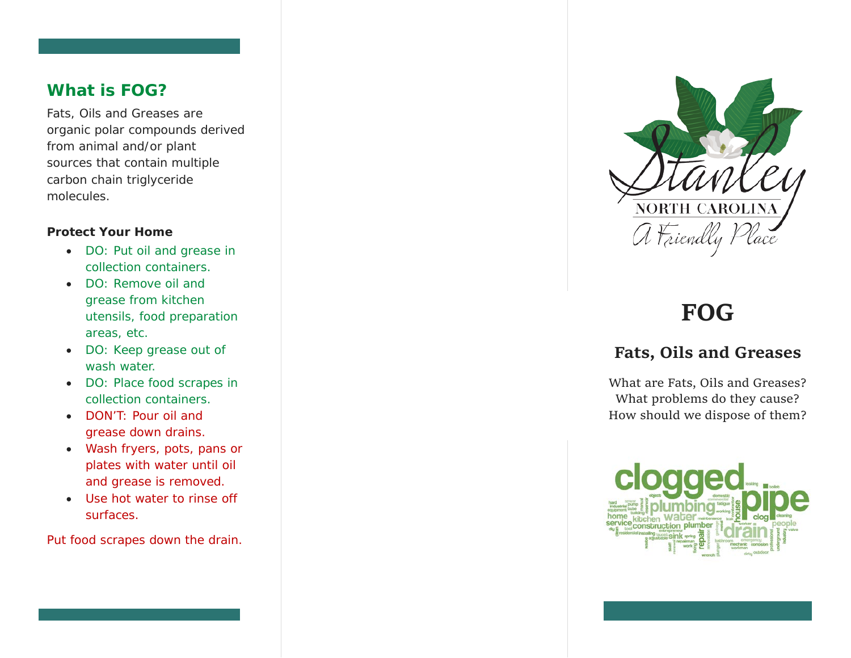### **What is FOG?**

Fats, Oils and Greases are organic polar compounds derived from animal and/or plant sources that contain multiple carbon chain triglyceride molecules.

#### **Protect Your Home**

- DO: Put oil and grease in collection containers.
- DO: Remove oil and grease from kitchen utensils, food preparation areas, etc.
- DO: Keep grease out of wash water.
- DO: Place food scrapes in collection containers.
- DON'T: Pour oil and grease down drains.
- Wash fryers, pots, pans or plates with water until oil and grease is removed.
- Use hot water to rinse off surfaces.

Put food scrapes down the drain.



# **FOG**

# **Fats, Oils and Greases**

What are Fats, Oils and Greases? What problems do they cause? How should we dispose of them?